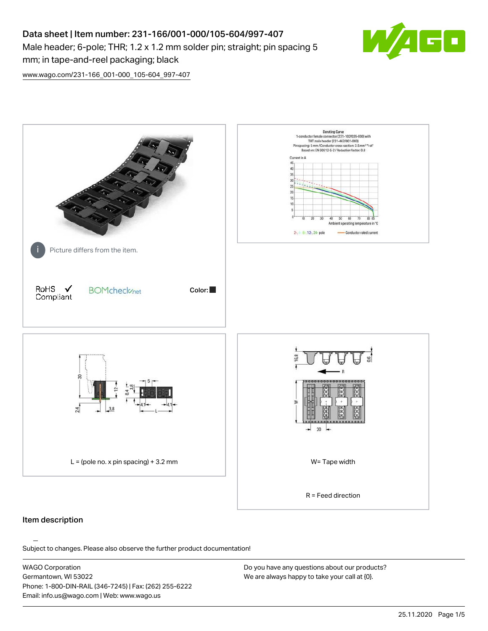# Data sheet | Item number: 231-166/001-000/105-604/997-407 Male header; 6-pole; THR; 1.2 x 1.2 mm solder pin; straight; pin spacing 5 mm; in tape-and-reel packaging; black



[www.wago.com/231-166\\_001-000\\_105-604\\_997-407](http://www.wago.com/231-166_001-000_105-604_997-407)



#### Item description

Subject to changes. Please also observe the further product documentation!

WAGO Corporation Germantown, WI 53022 Phone: 1-800-DIN-RAIL (346-7245) | Fax: (262) 255-6222 Email: info.us@wago.com | Web: www.wago.us

Do you have any questions about our products? We are always happy to take your call at {0}.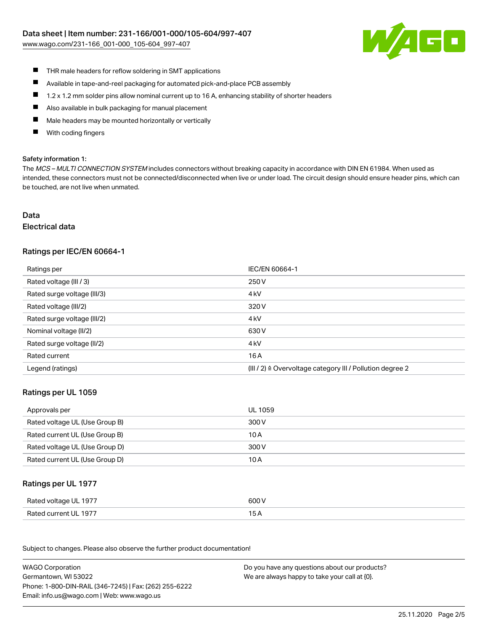[www.wago.com/231-166\\_001-000\\_105-604\\_997-407](http://www.wago.com/231-166_001-000_105-604_997-407)



- $\blacksquare$ THR male headers for reflow soldering in SMT applications
- $\blacksquare$ Available in tape-and-reel packaging for automated pick-and-place PCB assembly
- $\blacksquare$ 1.2 x 1.2 mm solder pins allow nominal current up to 16 A, enhancing stability of shorter headers
- $\blacksquare$ Also available in bulk packaging for manual placement
- П Male headers may be mounted horizontally or vertically
- With coding fingers П

#### Safety information 1:

The MCS - MULTI CONNECTION SYSTEM includes connectors without breaking capacity in accordance with DIN EN 61984. When used as intended, these connectors must not be connected/disconnected when live or under load. The circuit design should ensure header pins, which can be touched, are not live when unmated.

### Data

#### Electrical data

### Ratings per IEC/EN 60664-1

| Ratings per                 | IEC/EN 60664-1                                            |
|-----------------------------|-----------------------------------------------------------|
| Rated voltage (III / 3)     | 250 V                                                     |
| Rated surge voltage (III/3) | 4 <sub>k</sub> V                                          |
| Rated voltage (III/2)       | 320 V                                                     |
| Rated surge voltage (III/2) | 4 <sub>k</sub> V                                          |
| Nominal voltage (II/2)      | 630 V                                                     |
| Rated surge voltage (II/2)  | 4 <sub>k</sub> V                                          |
| Rated current               | 16 A                                                      |
| Legend (ratings)            | (III / 2) ≙ Overvoltage category III / Pollution degree 2 |

#### Ratings per UL 1059

| Approvals per                  | UL 1059 |
|--------------------------------|---------|
| Rated voltage UL (Use Group B) | 300 V   |
| Rated current UL (Use Group B) | 10 A    |
| Rated voltage UL (Use Group D) | 300 V   |
| Rated current UL (Use Group D) | 10 A    |

#### Ratings per UL 1977

| Rated voltage UL 1977 | 600 V |
|-----------------------|-------|
| Rated current UL 1977 |       |

Subject to changes. Please also observe the further product documentation! Ratings per CSA

| <b>WAGO Corporation</b>                                | Do you have any questions about our products? |
|--------------------------------------------------------|-----------------------------------------------|
| Germantown, WI 53022                                   | We are always happy to take your call at {0}. |
| Phone: 1-800-DIN-RAIL (346-7245)   Fax: (262) 255-6222 |                                               |
| Email: info.us@wago.com   Web: www.wago.us             |                                               |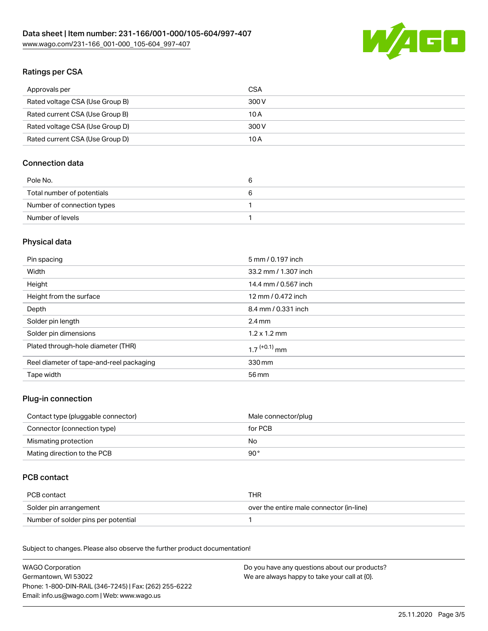

# Ratings per CSA

| Approvals per                   | CSA   |
|---------------------------------|-------|
| Rated voltage CSA (Use Group B) | 300 V |
| Rated current CSA (Use Group B) | 10 A  |
| Rated voltage CSA (Use Group D) | 300 V |
| Rated current CSA (Use Group D) | 10 A  |

### Connection data

| Pole No.                   | b |
|----------------------------|---|
| Total number of potentials |   |
| Number of connection types |   |
| Number of levels           |   |

# Physical data

| Pin spacing                              | 5 mm / 0.197 inch          |
|------------------------------------------|----------------------------|
| Width                                    | 33.2 mm / 1.307 inch       |
| Height                                   | 14.4 mm / 0.567 inch       |
| Height from the surface                  | 12 mm / 0.472 inch         |
| Depth                                    | 8.4 mm / 0.331 inch        |
| Solder pin length                        | $2.4 \text{ mm}$           |
| Solder pin dimensions                    | $1.2 \times 1.2$ mm        |
| Plated through-hole diameter (THR)       | $1.7$ <sup>(+0.1)</sup> mm |
| Reel diameter of tape-and-reel packaging | 330 mm                     |
| Tape width                               | 56 mm                      |

### Plug-in connection

| Contact type (pluggable connector) | Male connector/plug |
|------------------------------------|---------------------|
| Connector (connection type)        | for PCB             |
| Mismating protection               | No.                 |
| Mating direction to the PCB        | 90 °                |

### PCB contact

| PCB contact                         | THR                                      |
|-------------------------------------|------------------------------------------|
| Solder pin arrangement              | over the entire male connector (in-line) |
| Number of solder pins per potential |                                          |

Subject to changes. Please also observe the further product documentation! Material Data

| <b>WAGO Corporation</b>                                | Do you have any questions about our products? |
|--------------------------------------------------------|-----------------------------------------------|
| Germantown, WI 53022                                   | We are always happy to take your call at {0}. |
| Phone: 1-800-DIN-RAIL (346-7245)   Fax: (262) 255-6222 |                                               |
| Email: info.us@wago.com   Web: www.wago.us             |                                               |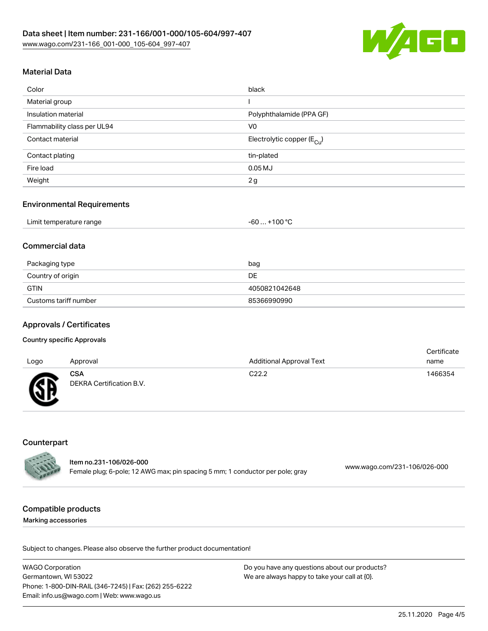

# Material Data

| Color                       | black                                  |
|-----------------------------|----------------------------------------|
| Material group              |                                        |
| Insulation material         | Polyphthalamide (PPA GF)               |
| Flammability class per UL94 | V <sub>0</sub>                         |
| Contact material            | Electrolytic copper (E <sub>Cu</sub> ) |
| Contact plating             | tin-plated                             |
| Fire load                   | $0.05$ MJ                              |
| Weight                      | 2g                                     |

#### Environmental Requirements

| Limit temperature range<br>-60 | $. +100 °C$ |
|--------------------------------|-------------|
|--------------------------------|-------------|

### Commercial data

| Packaging type        | bag           |
|-----------------------|---------------|
| Country of origin     | DE.           |
| <b>GTIN</b>           | 4050821042648 |
| Customs tariff number | 85366990990   |

#### Approvals / Certificates

#### Country specific Approvals

| Logo         | Approval                               | <b>Additional Approval Text</b> | Certificate<br>name |
|--------------|----------------------------------------|---------------------------------|---------------------|
| $\mathbb{C}$ | <b>CSA</b><br>DEKRA Certification B.V. | C <sub>22.2</sub>               | 1466354             |

### **Counterpart**

|                  | ltem no.231-106/026-000                                                       |                              |
|------------------|-------------------------------------------------------------------------------|------------------------------|
| <b>ANTES DES</b> | Female plug; 6-pole; 12 AWG max; pin spacing 5 mm; 1 conductor per pole; gray | www.wago.com/231-106/026-000 |

#### Compatible products

Marking accessories

Subject to changes. Please also observe the further product documentation!

WAGO Corporation Germantown, WI 53022 Phone: 1-800-DIN-RAIL (346-7245) | Fax: (262) 255-6222 Email: info.us@wago.com | Web: www.wago.us Do you have any questions about our products? We are always happy to take your call at {0}.